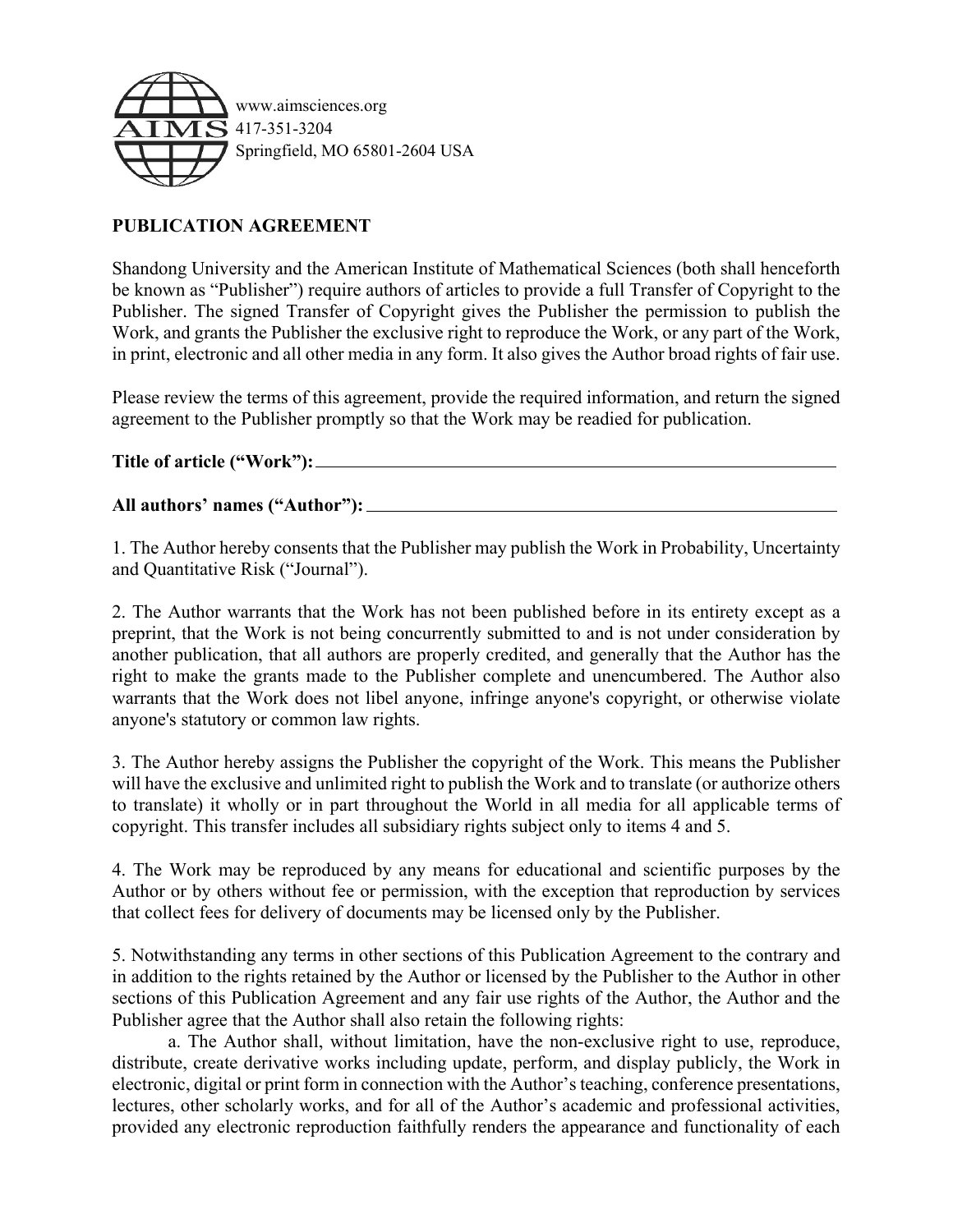

## **PUBLICATION AGREEMENT**

Shandong University and the American Institute of Mathematical Sciences (both shall henceforth be known as "Publisher") require authors of articles to provide a full Transfer of Copyright to the Publisher. The signed Transfer of Copyright gives the Publisher the permission to publish the Work, and grants the Publisher the exclusive right to reproduce the Work, or any part of the Work, in print, electronic and all other media in any form. It also gives the Author broad rights of fair use.

Please review the terms of this agreement, provide the required information, and return the signed agreement to the Publisher promptly so that the Work may be readied for publication.

**Title of article ("Work"):** 

## **All authors' names ("Author"):**

1. The Author hereby consents that the Publisher may publish the Work in Probability, Uncertainty and Quantitative Risk ("Journal").

2. The Author warrants that the Work has not been published before in its entirety except as a preprint, that the Work is not being concurrently submitted to and is not under consideration by another publication, that all authors are properly credited, and generally that the Author has the right to make the grants made to the Publisher complete and unencumbered. The Author also warrants that the Work does not libel anyone, infringe anyone's copyright, or otherwise violate anyone's statutory or common law rights.

3. The Author hereby assigns the Publisher the copyright of the Work. This means the Publisher will have the exclusive and unlimited right to publish the Work and to translate (or authorize others to translate) it wholly or in part throughout the World in all media for all applicable terms of copyright. This transfer includes all subsidiary rights subject only to items 4 and 5.

4. The Work may be reproduced by any means for educational and scientific purposes by the Author or by others without fee or permission, with the exception that reproduction by services that collect fees for delivery of documents may be licensed only by the Publisher.

5. Notwithstanding any terms in other sections of this Publication Agreement to the contrary and in addition to the rights retained by the Author or licensed by the Publisher to the Author in other sections of this Publication Agreement and any fair use rights of the Author, the Author and the Publisher agree that the Author shall also retain the following rights:

a. The Author shall, without limitation, have the non-exclusive right to use, reproduce, distribute, create derivative works including update, perform, and display publicly, the Work in electronic, digital or print form in connection with the Author's teaching, conference presentations, lectures, other scholarly works, and for all of the Author's academic and professional activities, provided any electronic reproduction faithfully renders the appearance and functionality of each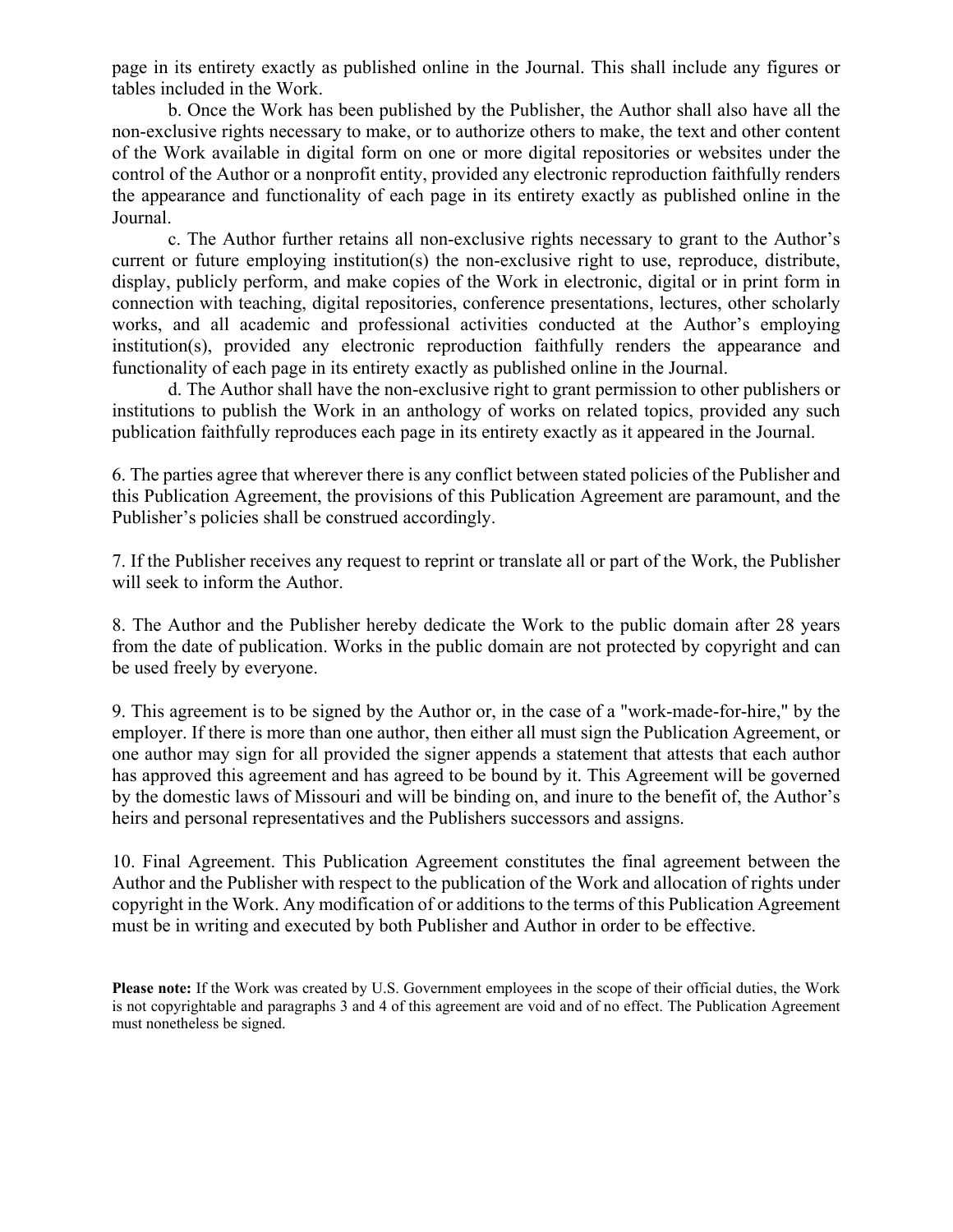page in its entirety exactly as published online in the Journal. This shall include any figures or tables included in the Work.

b. Once the Work has been published by the Publisher, the Author shall also have all the non-exclusive rights necessary to make, or to authorize others to make, the text and other content of the Work available in digital form on one or more digital repositories or websites under the control of the Author or a nonprofit entity, provided any electronic reproduction faithfully renders the appearance and functionality of each page in its entirety exactly as published online in the Journal.

c. The Author further retains all non-exclusive rights necessary to grant to the Author's current or future employing institution(s) the non-exclusive right to use, reproduce, distribute, display, publicly perform, and make copies of the Work in electronic, digital or in print form in connection with teaching, digital repositories, conference presentations, lectures, other scholarly works, and all academic and professional activities conducted at the Author's employing institution(s), provided any electronic reproduction faithfully renders the appearance and functionality of each page in its entirety exactly as published online in the Journal.

d. The Author shall have the non-exclusive right to grant permission to other publishers or institutions to publish the Work in an anthology of works on related topics, provided any such publication faithfully reproduces each page in its entirety exactly as it appeared in the Journal.

6. The parties agree that wherever there is any conflict between stated policies of the Publisher and this Publication Agreement, the provisions of this Publication Agreement are paramount, and the Publisher's policies shall be construed accordingly.

7. If the Publisher receives any request to reprint or translate all or part of the Work, the Publisher will seek to inform the Author.

8. The Author and the Publisher hereby dedicate the Work to the public domain after 28 years from the date of publication. Works in the public domain are not protected by copyright and can be used freely by everyone.

9. This agreement is to be signed by the Author or, in the case of a "work-made-for-hire," by the employer. If there is more than one author, then either all must sign the Publication Agreement, or one author may sign for all provided the signer appends a statement that attests that each author has approved this agreement and has agreed to be bound by it. This Agreement will be governed by the domestic laws of Missouri and will be binding on, and inure to the benefit of, the Author's heirs and personal representatives and the Publishers successors and assigns.

10. Final Agreement. This Publication Agreement constitutes the final agreement between the Author and the Publisher with respect to the publication of the Work and allocation of rights under copyright in the Work. Any modification of or additions to the terms of this Publication Agreement must be in writing and executed by both Publisher and Author in order to be effective.

**Please note:** If the Work was created by U.S. Government employees in the scope of their official duties, the Work is not copyrightable and paragraphs 3 and 4 of this agreement are void and of no effect. The Publication Agreement must nonetheless be signed.